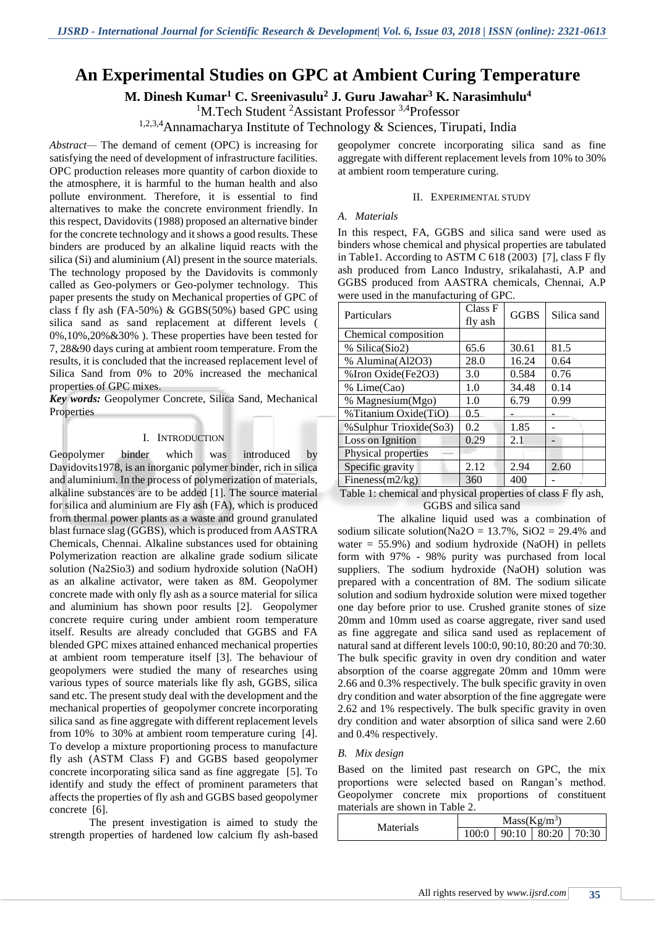# **An Experimental Studies on GPC at Ambient Curing Temperature**

**M. Dinesh Kumar<sup>1</sup> C. Sreenivasulu<sup>2</sup> J. Guru Jawahar<sup>3</sup> K. Narasimhulu<sup>4</sup>**

<sup>1</sup>M.Tech Student <sup>2</sup>Assistant Professor <sup>3,4</sup>Professor

1,2,3,4Annamacharya Institute of Technology & Sciences, Tirupati, India

*Abstract—* The demand of cement (OPC) is increasing for satisfying the need of development of infrastructure facilities. OPC production releases more quantity of carbon dioxide to the atmosphere, it is harmful to the human health and also pollute environment. Therefore, it is essential to find alternatives to make the concrete environment friendly. In this respect, Davidovits (1988) proposed an alternative binder for the concrete technology and it shows a good results. These binders are produced by an alkaline liquid reacts with the silica (Si) and aluminium (Al) present in the source materials. The technology proposed by the Davidovits is commonly called as Geo-polymers or Geo-polymer technology. This paper presents the study on Mechanical properties of GPC of class f fly ash (FA-50%) & GGBS(50%) based GPC using silica sand as sand replacement at different levels ( 0%,10%,20%&30% ). These properties have been tested for 7, 28&90 days curing at ambient room temperature. From the results, it is concluded that the increased replacement level of Silica Sand from 0% to 20% increased the mechanical properties of GPC mixes.

*Key words:* Geopolymer Concrete, Silica Sand, Mechanical Properties

#### I. INTRODUCTION

Geopolymer binder which was introduced by Davidovits1978, is an inorganic polymer binder, rich in silica and aluminium. In the process of polymerization of materials, alkaline substances are to be added [1]. The source material for silica and aluminium are Fly ash (FA), which is produced from thermal power plants as a waste and ground granulated blast furnace slag (GGBS), which is produced from AASTRA Chemicals, Chennai. Alkaline substances used for obtaining Polymerization reaction are alkaline grade sodium silicate solution (Na2Sio3) and sodium hydroxide solution (NaOH) as an alkaline activator, were taken as 8M. Geopolymer concrete made with only fly ash as a source material for silica and aluminium has shown poor results [2]. Geopolymer concrete require curing under ambient room temperature itself. Results are already concluded that GGBS and FA blended GPC mixes attained enhanced mechanical properties at ambient room temperature itself [3]. The behaviour of geopolymers were studied the many of researches using various types of source materials like fly ash, GGBS, silica sand etc. The present study deal with the development and the mechanical properties of geopolymer concrete incorporating silica sand as fine aggregate with different replacement levels from 10% to 30% at ambient room temperature curing [4]. To develop a mixture proportioning process to manufacture fly ash (ASTM Class F) and GGBS based geopolymer concrete incorporating silica sand as fine aggregate [5]. To identify and study the effect of prominent parameters that affects the properties of fly ash and GGBS based geopolymer concrete [6].

The present investigation is aimed to study the strength properties of hardened low calcium fly ash-based

geopolymer concrete incorporating silica sand as fine aggregate with different replacement levels from 10% to 30% at ambient room temperature curing.

#### II. EXPERIMENTAL STUDY

### *A. Materials*

In this respect, FA, GGBS and silica sand were used as binders whose chemical and physical properties are tabulated in Table1. According to ASTM C 618 (2003) [7], class F fly ash produced from Lanco Industry, srikalahasti, A.P and GGBS produced from AASTRA chemicals, Chennai, A.P were used in the manufacturing of GPC.

| Particulars            | Class F<br>fly ash | <b>GGBS</b> | Silica sand |
|------------------------|--------------------|-------------|-------------|
| Chemical composition   |                    |             |             |
| % Silica(Sio2)         | 65.6               | 30.61       | 81.5        |
| % Alumina(Al2O3)       | 28.0               | 16.24       | 0.64        |
| %Iron Oxide(Fe2O3)     | 3.0                | 0.584       | 0.76        |
| % Lime(Cao)            | 1.0                | 34.48       | 0.14        |
| % Magnesium(Mgo)       | 1.0                | 6.79        | 0.99        |
| %Titanium Oxide(TiO)   | 0.5                |             |             |
| %Sulphur Trioxide(So3) | 0.2                | 1.85        |             |
| Loss on Ignition       | 0.29               | 2.1         |             |
| Physical properties    |                    |             |             |
| Specific gravity       | 2.12               | 2.94        | 2.60        |
| Fineness $(m2/kg)$     | 360                | 400         |             |

Table 1: chemical and physical properties of class F fly ash, GGBS and silica sand

The alkaline liquid used was a combination of sodium silicate solution(Na2O =  $13.7\%$ , SiO2 = 29.4% and water  $= 55.9\%$ ) and sodium hydroxide (NaOH) in pellets form with 97% - 98% purity was purchased from local suppliers. The sodium hydroxide (NaOH) solution was prepared with a concentration of 8M. The sodium silicate solution and sodium hydroxide solution were mixed together one day before prior to use. Crushed granite stones of size 20mm and 10mm used as coarse aggregate, river sand used as fine aggregate and silica sand used as replacement of natural sand at different levels 100:0, 90:10, 80:20 and 70:30. The bulk specific gravity in oven dry condition and water absorption of the coarse aggregate 20mm and 10mm were 2.66 and 0.3% respectively. The bulk specific gravity in oven dry condition and water absorption of the fine aggregate were 2.62 and 1% respectively. The bulk specific gravity in oven dry condition and water absorption of silica sand were 2.60 and 0.4% respectively.

# *B. Mix design*

Based on the limited past research on GPC, the mix proportions were selected based on Rangan's method. Geopolymer concrete mix proportions of constituent materials are shown in Table 2.

| Materials | $Mass(Kg/m^3)$ |               |  |       |
|-----------|----------------|---------------|--|-------|
|           | 100:0          | $90:10$ 80:20 |  | 70:30 |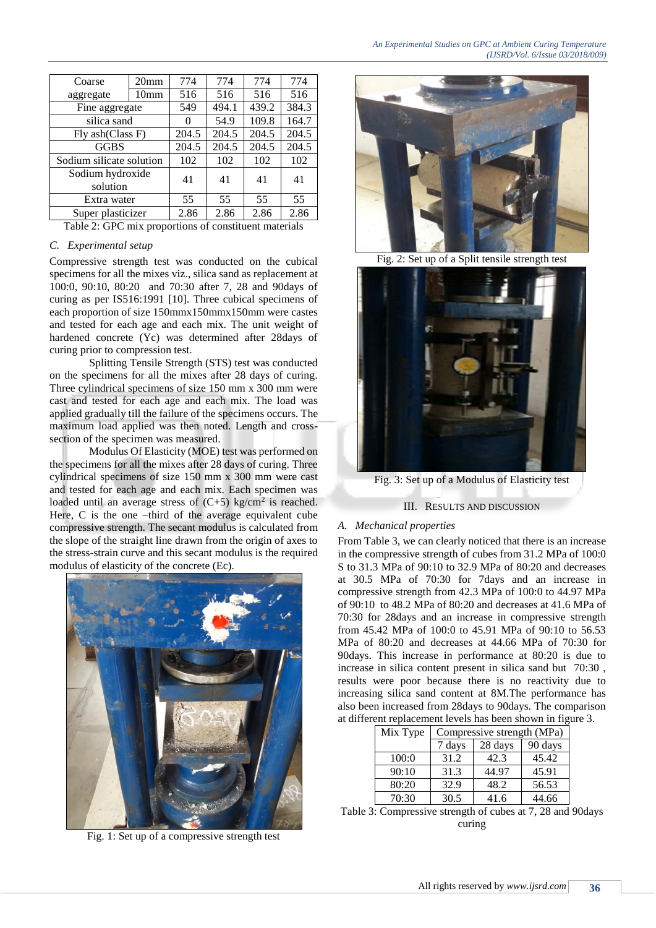| Coarse                       | 20 <sub>mm</sub> | 774      | 774   | 774   | 774   |
|------------------------------|------------------|----------|-------|-------|-------|
| aggregate                    | 10 <sub>mm</sub> | 516      | 516   | 516   | 516   |
| Fine aggregate               |                  | 549      | 494.1 | 439.2 | 384.3 |
| silica sand                  |                  | $\Omega$ | 54.9  | 109.8 | 164.7 |
| Fly ash(Class F)             |                  | 204.5    | 204.5 | 204.5 | 204.5 |
| <b>GGBS</b>                  |                  | 204.5    | 204.5 | 204.5 | 204.5 |
| Sodium silicate solution     |                  | 102      | 102   | 102   | 102   |
| Sodium hydroxide<br>solution |                  | 41       | 41    | 41    | 41    |
| Extra water                  |                  | 55       | 55    | 55    | 55    |
| Super plasticizer            |                  | 2.86     | 2.86  | 2.86  | 2.86  |

Table 2: GPC mix proportions of constituent materials

# *C. Experimental setup*

Compressive strength test was conducted on the cubical specimens for all the mixes viz., silica sand as replacement at 100:0, 90:10, 80:20 and 70:30 after 7, 28 and 90days of curing as per IS516:1991 [10]. Three cubical specimens of each proportion of size 150mmx150mmx150mm were castes and tested for each age and each mix. The unit weight of hardened concrete (Yc) was determined after 28days of curing prior to compression test.

Splitting Tensile Strength (STS) test was conducted on the specimens for all the mixes after 28 days of curing. Three cylindrical specimens of size 150 mm x 300 mm were cast and tested for each age and each mix. The load was applied gradually till the failure of the specimens occurs. The maximum load applied was then noted. Length and crosssection of the specimen was measured.

Modulus Of Elasticity (MOE) test was performed on the specimens for all the mixes after 28 days of curing. Three cylindrical specimens of size 150 mm x 300 mm were cast and tested for each age and each mix. Each specimen was loaded until an average stress of  $(C+5)$  kg/cm<sup>2</sup> is reached. Here, C is the one –third of the average equivalent cube compressive strength. The secant modulus is calculated from the slope of the straight line drawn from the origin of axes to the stress-strain curve and this secant modulus is the required modulus of elasticity of the concrete (Ec).



Fig. 1: Set up of a compressive strength test



Fig. 2: Set up of a Split tensile strength test



Fig. 3: Set up of a Modulus of Elasticity test

# III. RESULTS AND DISCUSSION

# *A. Mechanical properties*

From Table 3, we can clearly noticed that there is an increase in the compressive strength of cubes from 31.2 MPa of 100:0 S to 31.3 MPa of 90:10 to 32.9 MPa of 80:20 and decreases at 30.5 MPa of 70:30 for 7days and an increase in compressive strength from 42.3 MPa of 100:0 to 44.97 MPa of 90:10 to 48.2 MPa of 80:20 and decreases at 41.6 MPa of 70:30 for 28days and an increase in compressive strength from 45.42 MPa of 100:0 to 45.91 MPa of 90:10 to 56.53 MPa of 80:20 and decreases at 44.66 MPa of 70:30 for 90days. This increase in performance at 80:20 is due to increase in silica content present in silica sand but 70:30 , results were poor because there is no reactivity due to increasing silica sand content at 8M.The performance has also been increased from 28days to 90days. The comparison at different replacement levels has been shown in figure 3.

| Mix Type | Compressive strength (MPa) |         |         |  |
|----------|----------------------------|---------|---------|--|
|          | 7 days                     | 28 days | 90 days |  |
| 100:0    | 31.2                       | 42.3    | 45.42   |  |
| 90:10    | 31.3                       | 44.97   | 45.91   |  |
| 80:20    | 32.9                       | 48.2    | 56.53   |  |
| 70:30    | 30.5                       | 41.6    | 44.66   |  |

Table 3: Compressive strength of cubes at 7, 28 and 90days curing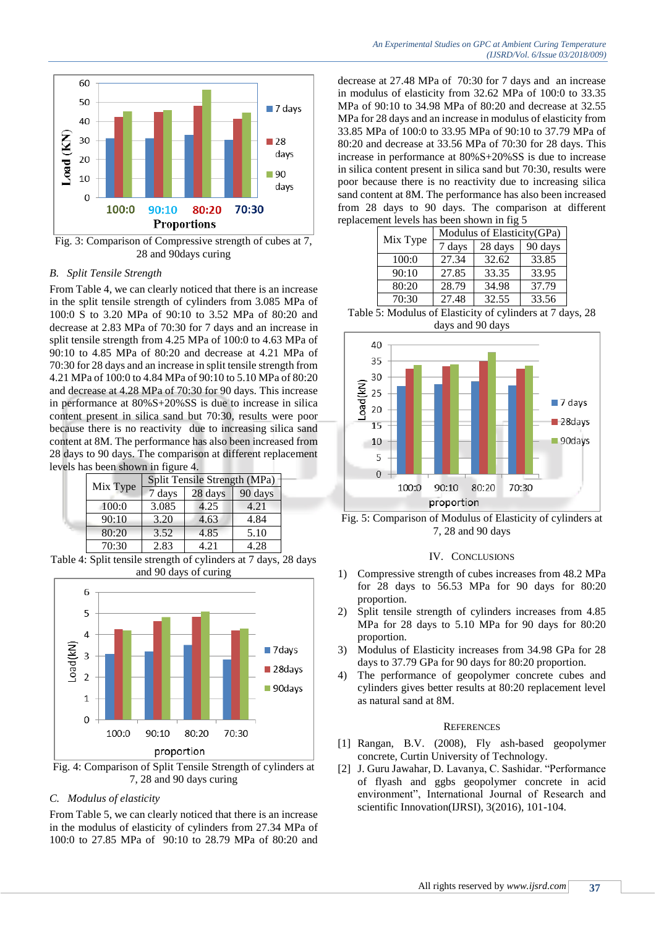

Fig. 3: Comparison of Compressive strength of cubes at 7, 28 and 90days curing

#### *B. Split Tensile Strength*

From Table 4, we can clearly noticed that there is an increase in the split tensile strength of cylinders from 3.085 MPa of 100:0 S to 3.20 MPa of 90:10 to 3.52 MPa of 80:20 and decrease at 2.83 MPa of 70:30 for 7 days and an increase in split tensile strength from 4.25 MPa of 100:0 to 4.63 MPa of 90:10 to 4.85 MPa of 80:20 and decrease at 4.21 MPa of 70:30 for 28 days and an increase in split tensile strength from 4.21 MPa of 100:0 to 4.84 MPa of 90:10 to 5.10 MPa of 80:20 and decrease at 4.28 MPa of 70:30 for 90 days. This increase in performance at 80%S+20%SS is due to increase in silica content present in silica sand but 70:30, results were poor because there is no reactivity due to increasing silica sand content at 8M. The performance has also been increased from 28 days to 90 days. The comparison at different replacement levels has been shown in figure 4.

| Mix Type | Split Tensile Strength (MPa) |         |         |  |
|----------|------------------------------|---------|---------|--|
|          | 7 days                       | 28 days | 90 days |  |
| 100:0    | 3.085                        | 4.25    | 4.21    |  |
| 90:10    | 3.20                         | 4.63    | 4.84    |  |
| 80:20    | 3.52                         | 4.85    | 5.10    |  |
| 70:30    | 2.83                         | 4.21    | 4.28    |  |

Table 4: Split tensile strength of cylinders at 7 days, 28 days and 90 days of curing



Fig. 4: Comparison of Split Tensile Strength of cylinders at 7, 28 and 90 days curing

#### *C. Modulus of elasticity*

From Table 5, we can clearly noticed that there is an increase in the modulus of elasticity of cylinders from 27.34 MPa of 100:0 to 27.85 MPa of 90:10 to 28.79 MPa of 80:20 and

decrease at 27.48 MPa of 70:30 for 7 days and an increase in modulus of elasticity from 32.62 MPa of 100:0 to 33.35 MPa of 90:10 to 34.98 MPa of 80:20 and decrease at 32.55 MPa for 28 days and an increase in modulus of elasticity from 33.85 MPa of 100:0 to 33.95 MPa of 90:10 to 37.79 MPa of 80:20 and decrease at 33.56 MPa of 70:30 for 28 days. This increase in performance at 80%S+20%SS is due to increase in silica content present in silica sand but 70:30, results were poor because there is no reactivity due to increasing silica sand content at 8M. The performance has also been increased from 28 days to 90 days. The comparison at different replacement levels has been shown in fig 5

|  | Mix Type | Modulus of Elasticity(GPa) |         |         |  |
|--|----------|----------------------------|---------|---------|--|
|  |          | 7 days                     | 28 days | 90 days |  |
|  | 100:0    | 27.34                      | 32.62   | 33.85   |  |
|  | 90:10    | 27.85                      | 33.35   | 33.95   |  |
|  | 80:20    | 28.79                      | 34.98   | 37.79   |  |
|  | 70:30    | 27.48                      | 32.55   | 33.56   |  |







#### IV. CONCLUSIONS

- 1) Compressive strength of cubes increases from 48.2 MPa for 28 days to 56.53 MPa for 90 days for 80:20 proportion.
- 2) Split tensile strength of cylinders increases from 4.85 MPa for 28 days to 5.10 MPa for 90 days for 80:20 proportion.
- 3) Modulus of Elasticity increases from 34.98 GPa for 28 days to 37.79 GPa for 90 days for 80:20 proportion.
- 4) The performance of geopolymer concrete cubes and cylinders gives better results at 80:20 replacement level as natural sand at 8M.

#### **REFERENCES**

- [1] Rangan, B.V. (2008), Fly ash-based geopolymer concrete, Curtin University of Technology.
- [2] J. Guru Jawahar, D. Lavanya, C. Sashidar. "Performance of flyash and ggbs geopolymer concrete in acid environment", International Journal of Research and scientific Innovation(IJRSI), 3(2016), 101-104.